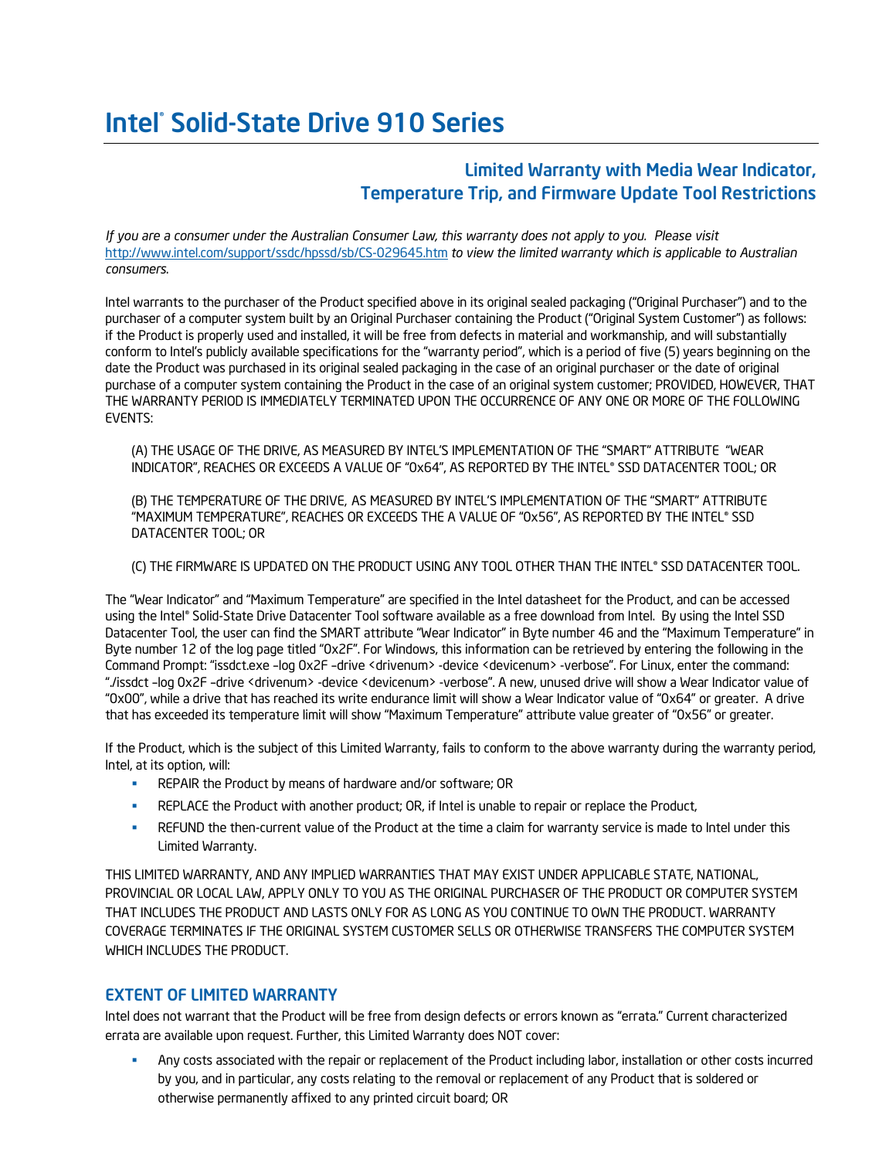# Intel® Solid-State Drive 910 Series

# Limited Warranty with Media Wear Indicator, Temperature Trip, and Firmware Update Tool Restrictions

*If you are a consumer under the Australian Consumer Law, this warranty does not apply to you. Please visit*  <http://www.intel.com/support/ssdc/hpssd/sb/CS-029645.htm> *to view the limited warranty which is applicable to Australian consumers*.

Intel warrants to the purchaser of the Product specified above in its original sealed packaging ("Original Purchaser") and to the purchaser of a computer system built by an Original Purchaser containing the Product ("Original System Customer") as follows: if the Product is properly used and installed, it will be free from defects in material and workmanship, and will substantially conform to Intel's publicly available specifications for the "warranty period", which is a period of five (5) years beginning on the date the Product was purchased in its original sealed packaging in the case of an original purchaser or the date of original purchase of a computer system containing the Product in the case of an original system customer; PROVIDED, HOWEVER, THAT THE WARRANTY PERIOD IS IMMEDIATELY TERMINATED UPON THE OCCURRENCE OF ANY ONE OR MORE OF THE FOLLOWING EVENTS:

(A) THE USAGE OF THE DRIVE, AS MEASURED BY INTEL'S IMPLEMENTATION OF THE "SMART" ATTRIBUTE "WEAR INDICATOR", REACHES OR EXCEEDS A VALUE OF "0x64", AS REPORTED BY THE INTEL® SSD DATACENTER TOOL; OR

(B) THE TEMPERATURE OF THE DRIVE, AS MEASURED BY INTEL'S IMPLEMENTATION OF THE "SMART" ATTRIBUTE "MAXIMUM TEMPERATURE", REACHES OR EXCEEDS THE A VALUE OF "0x56", AS REPORTED BY THE INTEL® SSD DATACENTER TOOL; OR

#### (C) THE FIRMWARE IS UPDATED ON THE PRODUCT USING ANY TOOL OTHER THAN THE INTEL® SSD DATACENTER TOOL.

The "Wear Indicator" and "Maximum Temperature" are specified in the Intel datasheet for the Product, and can be accessed using the Intel® Solid-State Drive Datacenter Tool software available as a free download from Intel. By using the Intel SSD Datacenter Tool, the user can find the SMART attribute "Wear Indicator" in Byte number 46 and the "Maximum Temperature" in Byte number 12 of the log page titled "0x2F". For Windows, this information can be retrieved by entering the following in the Command Prompt: "issdct.exe –log 0x2F –drive <drivenum> -device <devicenum> -verbose". For Linux, enter the command: "./issdct –log 0x2F –drive <drivenum> -device <devicenum> -verbose". A new, unused drive will show a Wear Indicator value of "0x00", while a drive that has reached its write endurance limit will show a Wear Indicator value of "0x64" or greater. A drive that has exceeded its temperature limit will show "Maximum Temperature" attribute value greater of "0x56" or greater.

If the Product, which is the subject of this Limited Warranty, fails to conform to the above warranty during the warranty period, Intel, at its option, will:

- REPAIR the Product by means of hardware and/or software; OR
- **REPLACE the Product with another product; OR, if Intel is unable to repair or replace the Product,**
- **REFUND** the then-current value of the Product at the time a claim for warranty service is made to Intel under this Limited Warranty.

THIS LIMITED WARRANTY, AND ANY IMPLIED WARRANTIES THAT MAY EXIST UNDER APPLICABLE STATE, NATIONAL, PROVINCIAL OR LOCAL LAW, APPLY ONLY TO YOU AS THE ORIGINAL PURCHASER OF THE PRODUCT OR COMPUTER SYSTEM THAT INCLUDES THE PRODUCT AND LASTS ONLY FOR AS LONG AS YOU CONTINUE TO OWN THE PRODUCT. WARRANTY COVERAGE TERMINATES IF THE ORIGINAL SYSTEM CUSTOMER SELLS OR OTHERWISE TRANSFERS THE COMPUTER SYSTEM WHICH INCLUDES THE PRODUCT.

#### EXTENT OF LIMITED WARRANTY

Intel does not warrant that the Product will be free from design defects or errors known as "errata." Current characterized errata are available upon request. Further, this Limited Warranty does NOT cover:

 Any costs associated with the repair or replacement of the Product including labor, installation or other costs incurred by you, and in particular, any costs relating to the removal or replacement of any Product that is soldered or otherwise permanently affixed to any printed circuit board; OR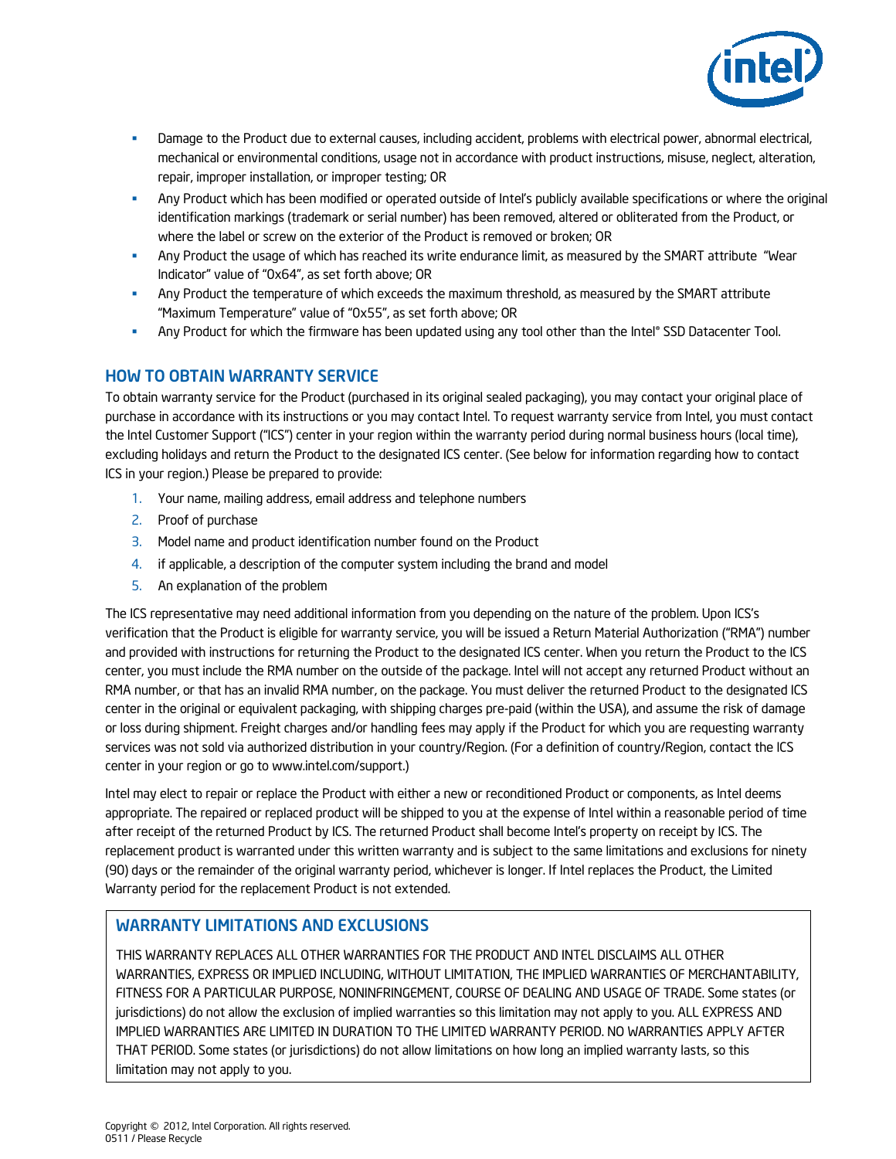

- **Damage to the Product due to external causes, including accident, problems with electrical power, abnormal electrical,** mechanical or environmental conditions, usage not in accordance with product instructions, misuse, neglect, alteration, repair, improper installation, or improper testing; OR
- Any Product which has been modified or operated outside of Intel's publicly available specifications or where the original identification markings (trademark or serial number) has been removed, altered or obliterated from the Product, or where the label or screw on the exterior of the Product is removed or broken; OR
- Any Product the usage of which has reached its write endurance limit, as measured by the SMART attribute "Wear Indicator" value of "0x64", as set forth above; OR
- Any Product the temperature of which exceeds the maximum threshold, as measured by the SMART attribute "Maximum Temperature" value of "0x55", as set forth above; OR
- **Any Product for which the firmware has been updated using any tool other than the Intel® SSD Datacenter Tool.**

# HOW TO OBTAIN WARRANTY SERVICE

To obtain warranty service for the Product (purchased in its original sealed packaging), you may contact your original place of purchase in accordance with its instructions or you may contact Intel. To request warranty service from Intel, you must contact the Intel Customer Support ("ICS") center in your region within the warranty period during normal business hours (local time), excluding holidays and return the Product to the designated ICS center. (See below for information regarding how to contact ICS in your region.) Please be prepared to provide:

- 1. Your name, mailing address, email address and telephone numbers
- 2. Proof of purchase
- 3. Model name and product identification number found on the Product
- 4. if applicable, a description of the computer system including the brand and model
- 5. An explanation of the problem

The ICS representative may need additional information from you depending on the nature of the problem. Upon ICS's verification that the Product is eligible for warranty service, you will be issued a Return Material Authorization ("RMA") number and provided with instructions for returning the Product to the designated ICS center. When you return the Product to the ICS center, you must include the RMA number on the outside of the package. Intel will not accept any returned Product without an RMA number, or that has an invalid RMA number, on the package. You must deliver the returned Product to the designated ICS center in the original or equivalent packaging, with shipping charges pre-paid (within the USA), and assume the risk of damage or loss during shipment. Freight charges and/or handling fees may apply if the Product for which you are requesting warranty services was not sold via authorized distribution in your country/Region. (For a definition of country/Region, contact the ICS center in your region or go to [www.intel.com/support.\)](http://www.intel.com/support)

Intel may elect to repair or replace the Product with either a new or reconditioned Product or components, as Intel deems appropriate. The repaired or replaced product will be shipped to you at the expense of Intel within a reasonable period of time after receipt of the returned Product by ICS. The returned Product shall become Intel's property on receipt by ICS. The replacement product is warranted under this written warranty and is subject to the same limitations and exclusions for ninety (90) days or the remainder of the original warranty period, whichever is longer. If Intel replaces the Product, the Limited Warranty period for the replacement Product is not extended.

### WARRANTY LIMITATIONS AND EXCLUSIONS

THIS WARRANTY REPLACES ALL OTHER WARRANTIES FOR THE PRODUCT AND INTEL DISCLAIMS ALL OTHER WARRANTIES, EXPRESS OR IMPLIED INCLUDING, WITHOUT LIMITATION, THE IMPLIED WARRANTIES OF MERCHANTABILITY, FITNESS FOR A PARTICULAR PURPOSE, NONINFRINGEMENT, COURSE OF DEALING AND USAGE OF TRADE. Some states (or jurisdictions) do not allow the exclusion of implied warranties so this limitation may not apply to you. ALL EXPRESS AND IMPLIED WARRANTIES ARE LIMITED IN DURATION TO THE LIMITED WARRANTY PERIOD. NO WARRANTIES APPLY AFTER THAT PERIOD. Some states (or jurisdictions) do not allow limitations on how long an implied warranty lasts, so this limitation may not apply to you.